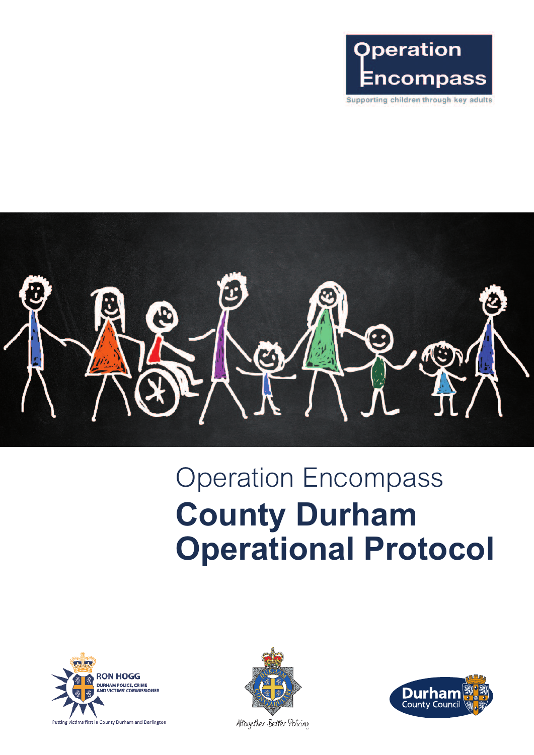

I.

# Operation Encompass **County Durham Operational Protocol**





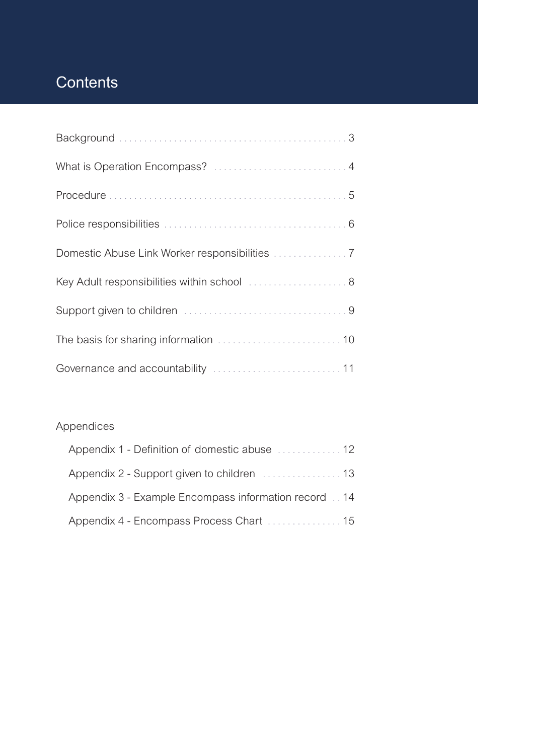## **Contents**

| Key Adult responsibilities within school  8 |
|---------------------------------------------|
|                                             |
|                                             |
|                                             |

#### Appendices

| Appendix 1 - Definition of domestic abuse  12        |  |
|------------------------------------------------------|--|
|                                                      |  |
| Appendix 3 - Example Encompass information record 14 |  |
|                                                      |  |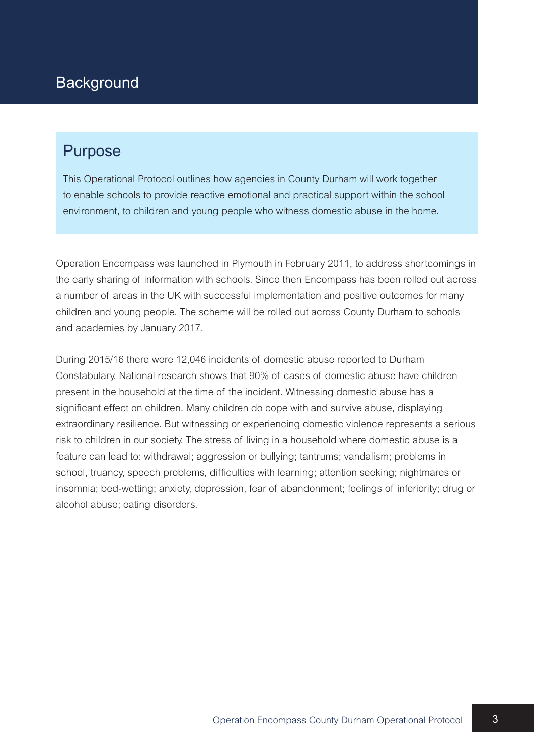#### **Background**

#### Purpose

This Operational Protocol outlines how agencies in County Durham will work together to enable schools to provide reactive emotional and practical support within the school environment, to children and young people who witness domestic abuse in the home.

Operation Encompass was launched in Plymouth in February 2011, to address shortcomings in the early sharing of information with schools. Since then Encompass has been rolled out across a number of areas in the UK with successful implementation and positive outcomes for many children and young people. The scheme will be rolled out across County Durham to schools and academies by January 2017.

During 2015/16 there were 12,046 incidents of domestic abuse reported to Durham Constabulary. National research shows that 90% of cases of domestic abuse have children present in the household at the time of the incident. Witnessing domestic abuse has a significant effect on children. Many children do cope with and survive abuse, displaying extraordinary resilience. But witnessing or experiencing domestic violence represents a serious risk to children in our society. The stress of living in a household where domestic abuse is a feature can lead to: withdrawal; aggression or bullying; tantrums; vandalism; problems in school, truancy, speech problems, difficulties with learning; attention seeking; nightmares or insomnia; bed-wetting; anxiety, depression, fear of abandonment; feelings of inferiority; drug or alcohol abuse; eating disorders.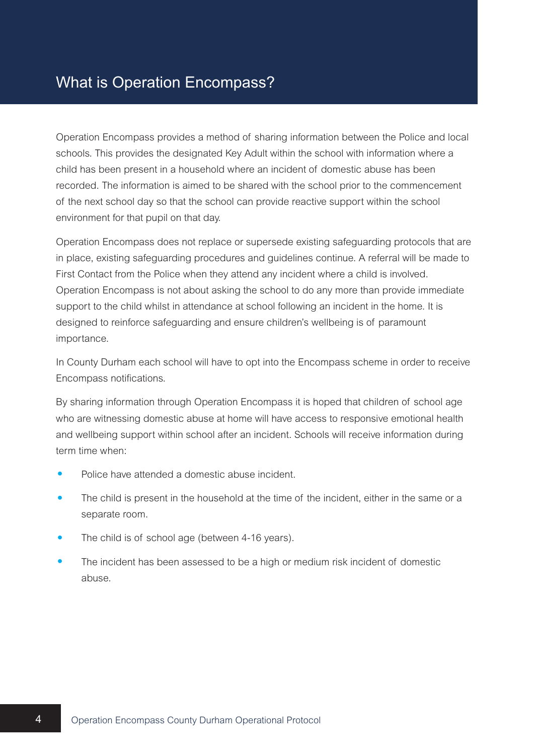Operation Encompass provides a method of sharing information between the Police and local schools. This provides the designated Key Adult within the school with information where a child has been present in a household where an incident of domestic abuse has been recorded. The information is aimed to be shared with the school prior to the commencement of the next school day so that the school can provide reactive support within the school environment for that pupil on that day.

Operation Encompass does not replace or supersede existing safeguarding protocols that are in place, existing safeguarding procedures and guidelines continue. A referral will be made to First Contact from the Police when they attend any incident where a child is involved. Operation Encompass is not about asking the school to do any more than provide immediate support to the child whilst in attendance at school following an incident in the home. It is designed to reinforce safeguarding and ensure children's wellbeing is of paramount importance.

In County Durham each school will have to opt into the Encompass scheme in order to receive Encompass notifications.

By sharing information through Operation Encompass it is hoped that children of school age who are witnessing domestic abuse at home will have access to responsive emotional health and wellbeing support within school after an incident. Schools will receive information during term time when:

- Police have attended <sup>a</sup> domestic abuse incident.
- The child is present in the household at the time of the incident, either in the same or a separate room.
- The child is of school age (between 4-16 years).
- The incident has been assessed to be a high or medium risk incident of domestic abuse.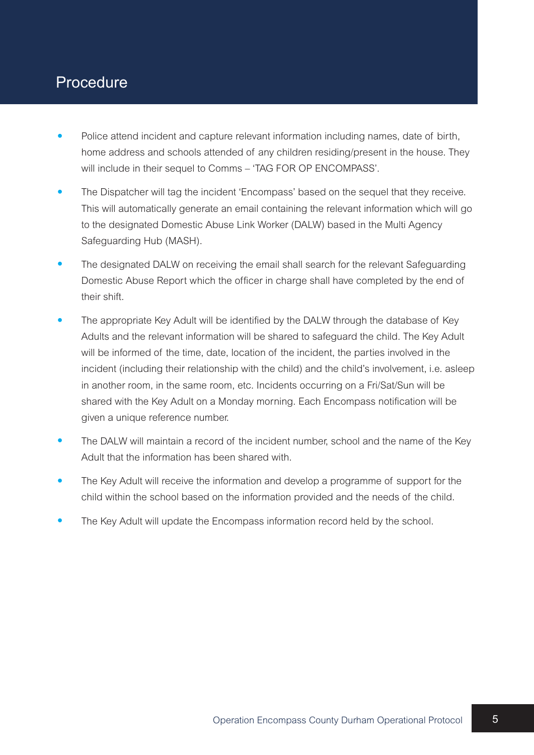#### Procedure

- Police attend incident and capture relevant information including names, date of birth, home address and schools attended of any children residing/present in the house. They will include in their sequel to Comms – 'TAG FOR OP ENCOMPASS'.
- The Dispatcher will tag the incident 'Encompass' based on the sequel that they receive. This will automatically generate an email containing the relevant information which will go to the designated Domestic Abuse Link Worker (DALW) based in the Multi Agency Safeguarding Hub (MASH).
- The designated DALW on receiving the email shall search for the relevant Safeguarding Domestic Abuse Report which the officer in charge shall have completed by the end of their shift.
- The appropriate Key Adult will be identified by the DALW through the database of Key Adults and the relevant information will be shared to safeguard the child. The Key Adult will be informed of the time, date, location of the incident, the parties involved in the incident (including their relationship with the child) and the child's involvement, i.e. asleep in another room, in the same room, etc. Incidents occurring on a Fri/Sat/Sun will be shared with the Key Adult on a Monday morning. Each Encompass notification will be given a unique reference number.
- The DALW will maintain a record of the incident number, school and the name of the Key Adult that the information has been shared with.
- The Key Adult will receive the information and develop a programme of support for the child within the school based on the information provided and the needs of the child.
- The Key Adult will update the Encompass information record held by the school.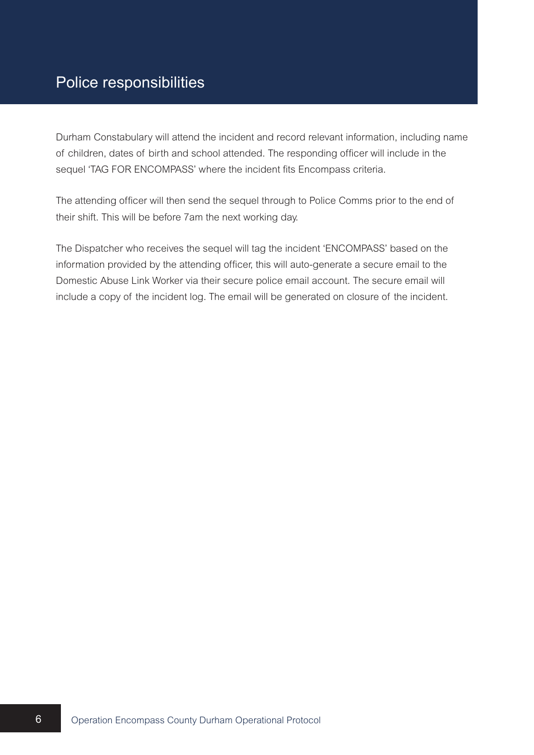Durham Constabulary will attend the incident and record relevant information, including name of children, dates of birth and school attended. The responding officer will include in the sequel 'TAG FOR ENCOMPASS' where the incident fits Encompass criteria.

The attending officer will then send the sequel through to Police Comms prior to the end of their shift. This will be before 7am the next working day.

The Dispatcher who receives the sequel will tag the incident 'ENCOMPASS' based on the information provided by the attending officer, this will auto-generate a secure email to the Domestic Abuse Link Worker via their secure police email account. The secure email will include a copy of the incident log. The email will be generated on closure of the incident.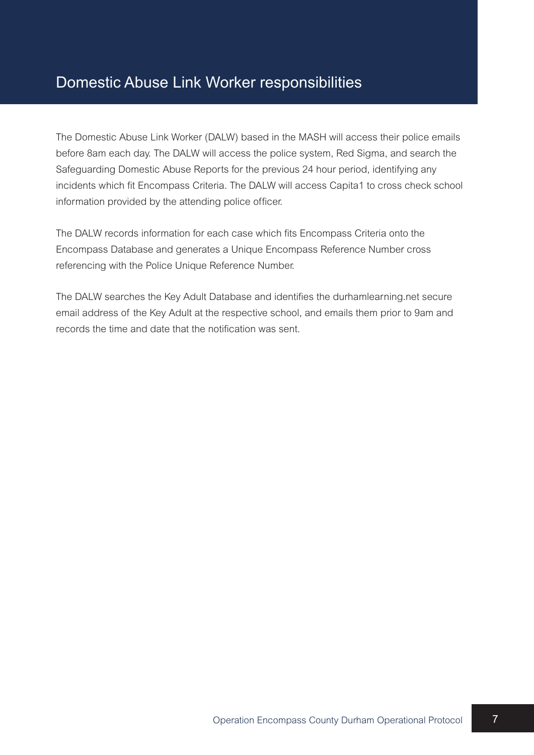#### Domestic Abuse Link Worker responsibilities

The Domestic Abuse Link Worker (DALW) based in the MASH will access their police emails before 8am each day. The DALW will access the police system, Red Sigma, and search the Safeguarding Domestic Abuse Reports for the previous 24 hour period, identifying any incidents which fit Encompass Criteria. The DALW will access Capita1 to cross check school information provided by the attending police officer.

The DALW records information for each case which fits Encompass Criteria onto the Encompass Database and generates a Unique Encompass Reference Number cross referencing with the Police Unique Reference Number.

The DALW searches the Key Adult Database and identifies the durhamlearning.net secure email address of the Key Adult at the respective school, and emails them prior to 9am and records the time and date that the notification was sent.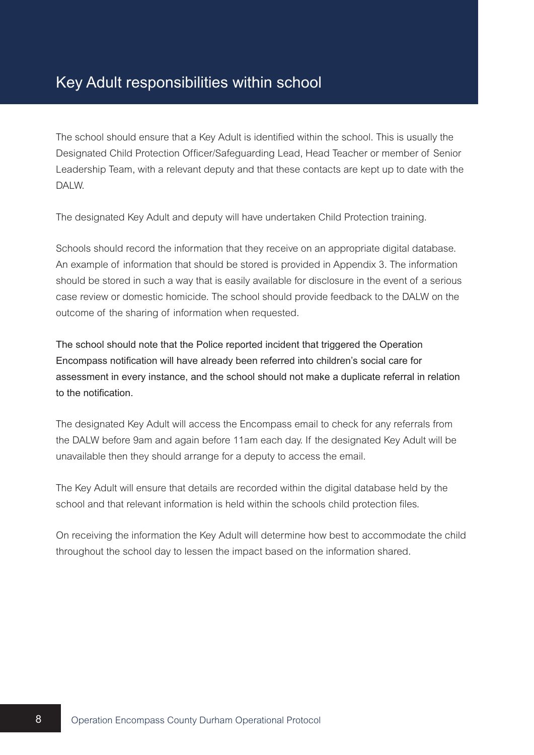#### Key Adult responsibilities within school

The school should ensure that a Key Adult is identified within the school. This is usually the Designated Child Protection Officer/Safeguarding Lead, Head Teacher or member of Senior Leadership Team, with a relevant deputy and that these contacts are kept up to date with the DAI W.

The designated Key Adult and deputy will have undertaken Child Protection training.

Schools should record the information that they receive on an appropriate digital database. An example of information that should be stored is provided in Appendix 3. The information should be stored in such a way that is easily available for disclosure in the event of a serious case review or domestic homicide. The school should provide feedback to the DALW on the outcome of the sharing of information when requested.

The school should note that the Police reported incident that triggered the Operation Encompass notification will have already been referred into children's social care for assessment in every instance, and the school should not make a duplicate referral in relation to the notification.

The designated Key Adult will access the Encompass email to check for any referrals from the DALW before 9am and again before 11am each day. If the designated Key Adult will be unavailable then they should arrange for a deputy to access the email.

The Key Adult will ensure that details are recorded within the digital database held by the school and that relevant information is held within the schools child protection files.

On receiving the information the Key Adult will determine how best to accommodate the child throughout the school day to lessen the impact based on the information shared.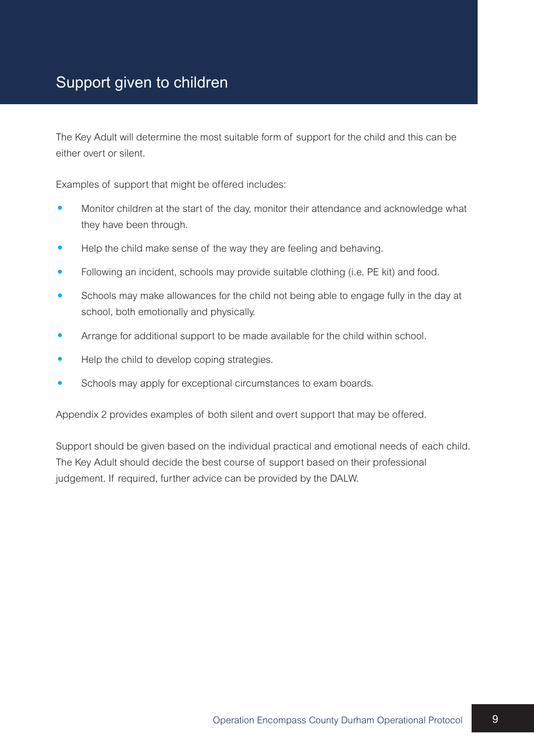#### Support given to children

The Key Adult will determine the most suitable form of support for the child and this can be either overt or silent.

Examples of support that might be offered includes:

- Monitor children at the start of the day, monitor their attendance and acknowledge what they have been through.
- Help the child make sense of the way they are feeling and behaving.
- Following an incident, schools may provide suitable clothing (i.e. PE kit) and food.
- Schools may make allowances for the child not being able to engage fully in the day at school, both emotionally and physically.
- Arrange for additional support to be made available for the child within school.
- Help the child to develop coping strategies.
- Schools may apply for exceptional circumstances to exam boards.

Appendix 2 provides examples of both silent and overt support that may be offered.

Support should be given based on the individual practical and emotional needs of each child. The Key Adult should decide the best course of support based on their professional judgement. If required, further advice can be provided by the DALW.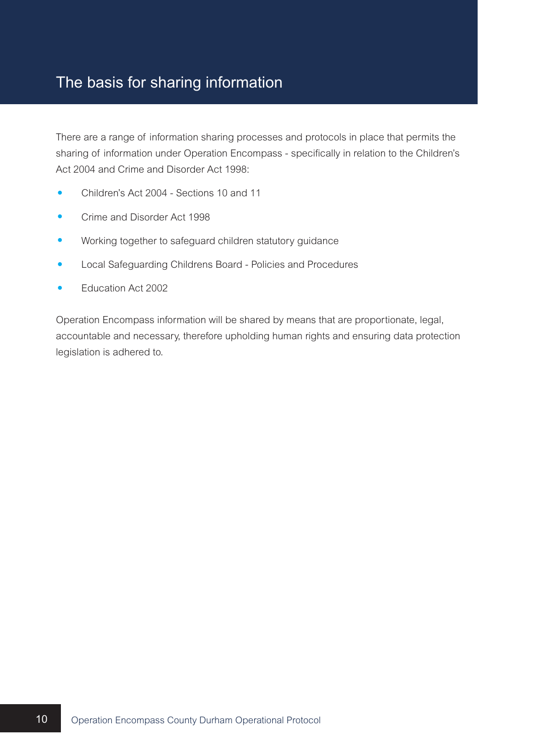#### The basis for sharing information

There are a range of information sharing processes and protocols in place that permits the sharing of information under Operation Encompass - specifically in relation to the Children's Act 2004 and Crime and Disorder Act 1998:

- Children's Act 2004 Sections 10 and 11
- Crime and Disorder Act <sup>1998</sup>
- Working together to safeguard children statutory guidance
- Local Safeguarding Childrens Board Policies and Procedures
- Education Act <sup>2002</sup>

Operation Encompass information will be shared by means that are proportionate, legal, accountable and necessary, therefore upholding human rights and ensuring data protection legislation is adhered to.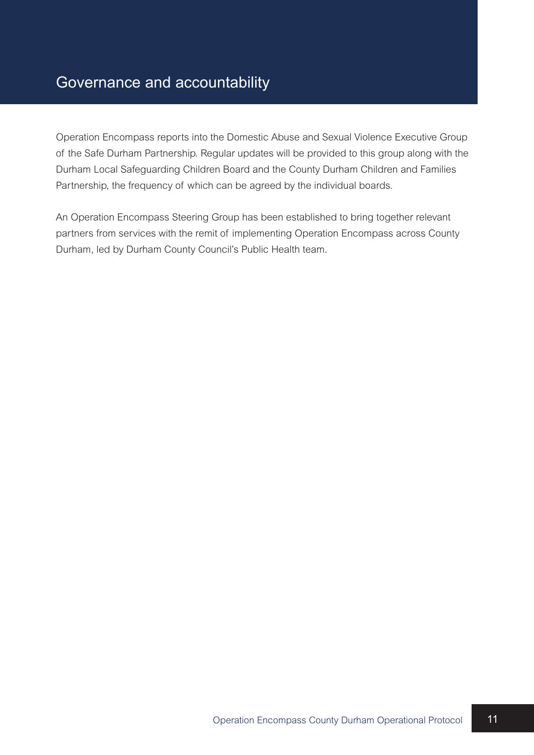Operation Encompass reports into the Domestic Abuse and Sexual Violence Executive Group of the Safe Durham Partnership. Regular updates will be provided to this group along with the Durham Local Safeguarding Children Board and the County Durham Children and Families Partnership, the frequency of which can be agreed by the individual boards.

An Operation Encompass Steering Group has been established to bring together relevant partners from services with the remit of implementing Operation Encompass across County Durham, led by Durham County Council's Public Health team.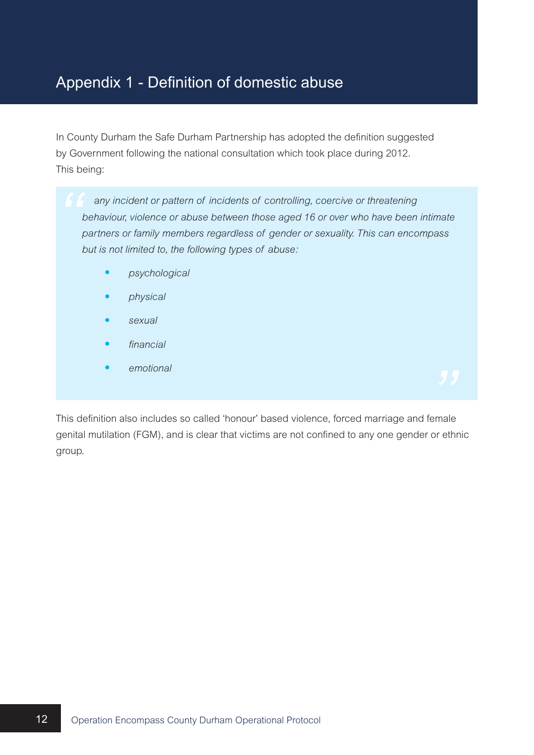#### Appendix 1 - Definition of domestic abuse

In County Durham the Safe Durham Partnership has adopted the definition suggested by Government following the national consultation which took place during 2012. This being:

*any incident or pattern of incidents of controlling, coercive or threatening behaviour, violence or abuse between those aged 16 or over who have been intimate partners or family members regardless of gender or sexuality. This can encompass but is not limited to, the following types of abuse:*

- *psychological*
- *physical*
- *sexual*
- *financial*
- *emotional*

This definition also includes so called 'honour' based violence, forced marriage and female genital mutilation (FGM), and is clear that victims are not confined to any one gender or ethnic group.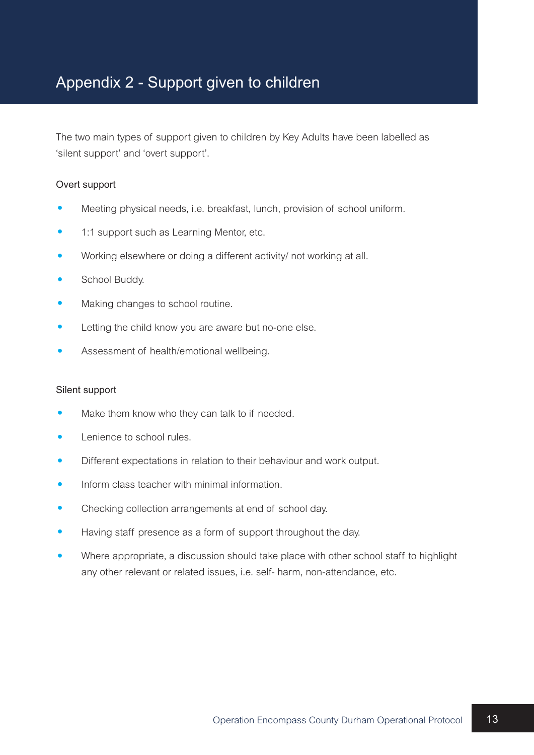#### Appendix 2 - Support given to children

The two main types of support given to children by Key Adults have been labelled as 'silent support' and 'overt support'.

#### Overt support

- Meeting physical needs, i.e. breakfast, lunch, provision of school uniform.
- 1:1 support such as Learning Mentor, etc.
- Working elsewhere or doing <sup>a</sup> different activity/ not working at all.
- School Buddy.
- Making changes to school routine.
- Letting the child know you are aware but no-one else.
- Assessment of health/emotional wellbeing.

#### Silent support

- Make them know who they can talk to if needed.
- Lenience to school rules.
- Different expectations in relation to their behaviour and work output.
- Inform class teacher with minimal information.
- Checking collection arrangements at end of school day.
- Having staff presence as <sup>a</sup> form of support throughout the day.
- Where appropriate, <sup>a</sup> discussion should take place with other school staff to highlight any other relevant or related issues, i.e. self- harm, non-attendance, etc.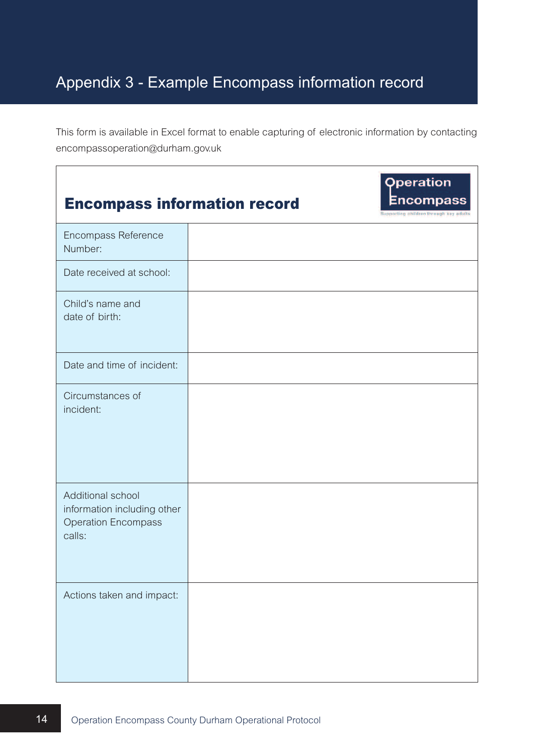## Appendix 3 - Example Encompass information record

This form is available in Excel format to enable capturing of electronic information by contacting encompassoperation@durham.gov.uk

| <b>Encompass information record</b>                                                      | <b>Operation</b><br><b>Encompass</b><br>Supporting children through key adults |
|------------------------------------------------------------------------------------------|--------------------------------------------------------------------------------|
| Encompass Reference<br>Number:                                                           |                                                                                |
| Date received at school:                                                                 |                                                                                |
| Child's name and<br>date of birth:                                                       |                                                                                |
| Date and time of incident:                                                               |                                                                                |
| Circumstances of<br>incident:                                                            |                                                                                |
| Additional school<br>information including other<br><b>Operation Encompass</b><br>calls: |                                                                                |
| Actions taken and impact:                                                                |                                                                                |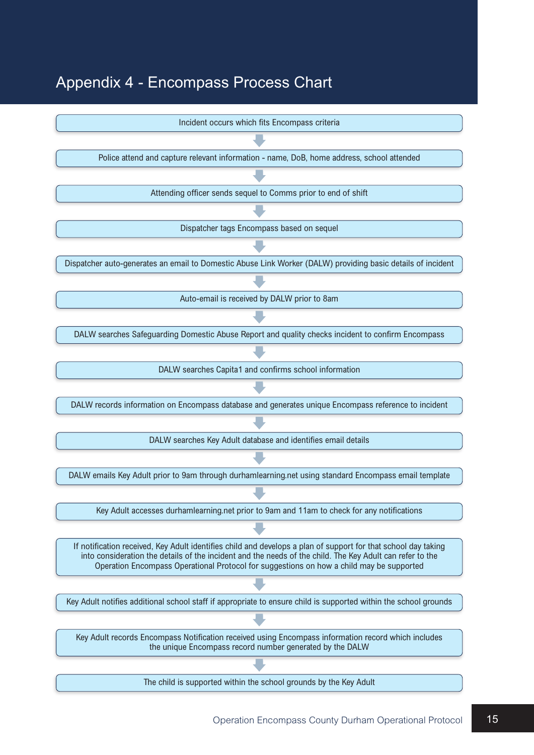#### Appendix 4 - Encompass Process Chart